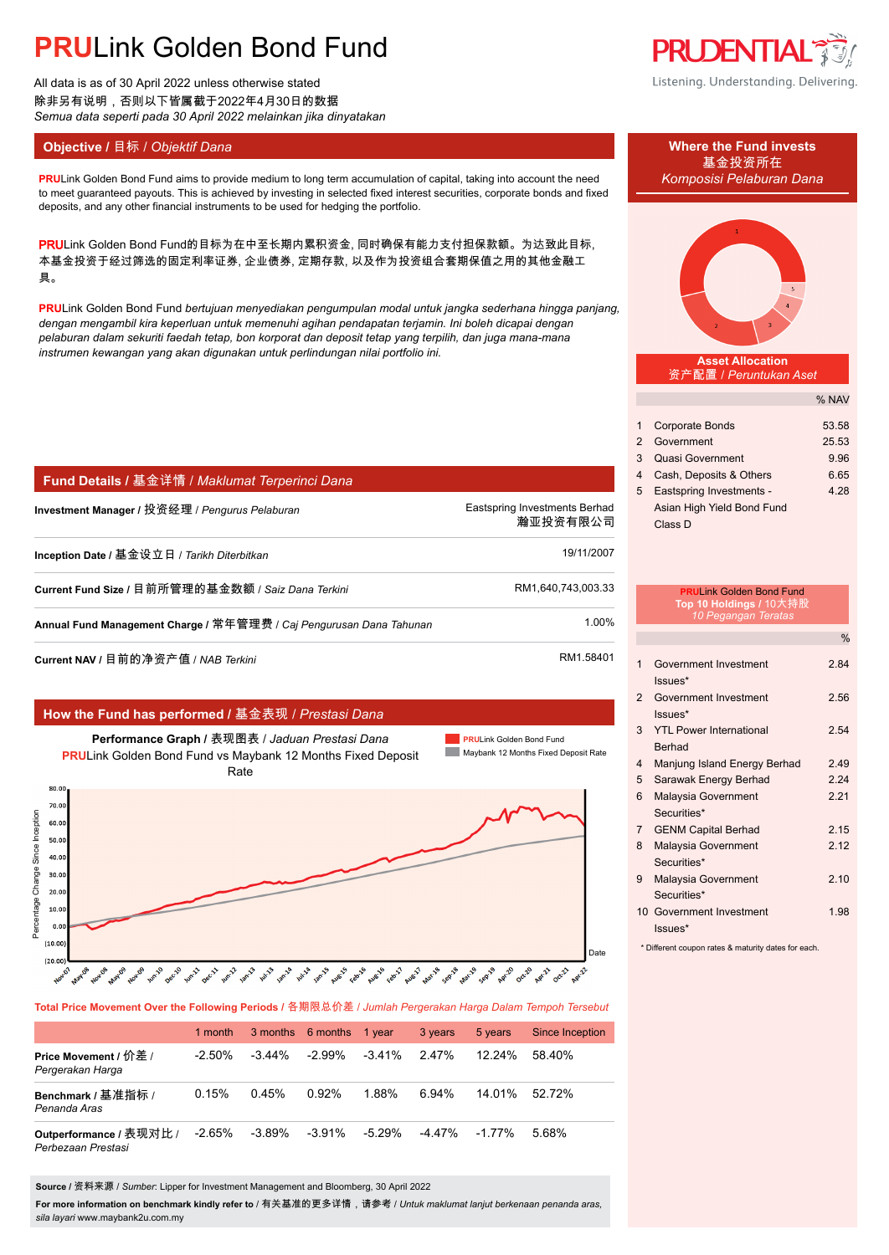# **PRU**Link Golden Bond Fund

All data is as of 30 April 2022 unless otherwise stated 除非另有说明,否则以下皆属截于2022年4月30日的数据 *Semua data seperti pada 30 April 2022 melainkan jika dinyatakan*

### **Objective / 目标 /** *Objektif Dana* **Where the Fund invests</u>**

**PRU**Link Golden Bond Fund aims to provide medium to long term accumulation of capital, taking into account the need *Komposisi Pelaburan Dana* to meet guaranteed payouts. This is achieved by investing in selected fixed interest securities, corporate bonds and fixed deposits, and any other financial instruments to be used for hedging the portfolio.

PRULink Golden Bond Fund的目标为在中至长期内累积资金, 同时确保有能力支付担保款额。为达致此目标, 本基金投资于经过筛选的固定利率证券, 企业债券, 定期存款, 以及作为投资组合套期保值之用的其他金融工 具。

**PRU**Link Golden Bond Fund *bertujuan menyediakan pengumpulan modal untuk jangka sederhana hingga panjang, dengan mengambil kira keperluan untuk memenuhi agihan pendapatan terjamin. Ini boleh dicapai dengan pelaburan dalam sekuriti faedah tetap, bon korporat dan deposit tetap yang terpilih, dan juga mana-mana instrumen kewangan yang akan digunakan untuk perlindungan nilai portfolio ini.*

| │ Fund Details / 基金详情 / Maklumat Terperinci Dana                    |                                           |
|---------------------------------------------------------------------|-------------------------------------------|
| Investment Manager / 投资经理 / Pengurus Pelaburan                      | Eastspring Investments Berhad<br>瀚亚投资有限公司 |
| Inception Date / 基金设立日 / Tarikh Diterbitkan                         | 19/11/2007                                |
| Current Fund Size / 目前所管理的基金数额 / Saiz Dana Terkini                  | RM1,640,743,003.33                        |
| Annual Fund Management Charge / 常年管理费 / Caj Pengurusan Dana Tahunan | 1.00%                                     |
|                                                                     | <b>DIM FOADA</b>                          |

**Current NAV /** 目前的净资产值 / NAB Terkini RM1.58401. RM1.58401.

### **How the Fund has performed /** 基金表现 / *Prestasi Dana*



**Total Price Movement Over the Following Periods /** 各期限总价差 / *Jumlah Pergerakan Harga Dalam Tempoh Tersebut*

|                                               | 1 month   | 3 months 6 months |           | 1 year    | 3 years  | 5 years   | <b>Since Inception</b> |
|-----------------------------------------------|-----------|-------------------|-----------|-----------|----------|-----------|------------------------|
| Price Movement / 价差 /<br>Pergerakan Harga     | $-2.50\%$ | $-3.44\%$         | $-2.99\%$ | $-3.41\%$ | $2.47\%$ | $12.24\%$ | 58.40%                 |
| Benchmark / 基准指标 /<br>Penanda Aras            | 0.15%     | 0.45%             | 0.92%     | 1.88%     | 6.94%    | 14 01%    | 52.72%                 |
| Outperformance / 表现对比 /<br>Perbezaan Prestasi | $-2.65\%$ | $-3.89\%$         | -3.91%    | -5.29%    | -4 47%   | $-1.77\%$ | 5.68%                  |

**Source /** 资料来源 / *Sumber*: Lipper for Investment Management and Bloomberg, 30 April 2022

**For more information on benchmark kindly refer to** / 有关基准的更多详情,请参考 / *Untuk maklumat lanjut berkenaan penanda aras, sila layari* www.maybank2u.com.my



Listening. Understanding. Delivering.

# 基金投资所在



**Asset Allocation** 资产配置 / *Peruntukan Aset*

|    |                            | % NAV |
|----|----------------------------|-------|
|    |                            |       |
| 1. | <b>Corporate Bonds</b>     | 53.58 |
|    | 2 Government               | 25.53 |
| 3  | <b>Quasi Government</b>    | 9.96  |
| 4  | Cash, Deposits & Others    | 6.65  |
| 5  | Eastspring Investments -   | 4.28  |
|    | Asian High Yield Bond Fund |       |
|    | Class D                    |       |

|                         | <b>PRULink Golden Bond Fund</b><br>Top 10 Holdings / 10大持股<br>10 Pegangan Teratas |               |
|-------------------------|-----------------------------------------------------------------------------------|---------------|
|                         |                                                                                   | $\frac{0}{0}$ |
| 1                       | Government Investment                                                             | 284           |
| $\mathfrak{p}$          | $lssues*$<br>Government Investment                                                | 2.56          |
|                         | $lssues*$                                                                         |               |
| 3                       | <b>YTI Power International</b>                                                    | 2.54          |
|                         | <b>Berhad</b>                                                                     |               |
| $\overline{\mathbf{4}}$ | Manjung Island Energy Berhad                                                      | 2.49          |
| 5                       | Sarawak Energy Berhad                                                             | 224           |
| 6                       | Malaysia Government                                                               | 2 21          |
|                         | Securities*                                                                       |               |
| $\overline{7}$          | <b>GENM Capital Berhad</b>                                                        | 215           |
| 8                       | Malaysia Government                                                               | 2.12          |
|                         | Securities*                                                                       |               |
| 9                       | Malaysia Government                                                               | 2.10          |
|                         | Securities*                                                                       |               |
|                         | 10 Government Investment                                                          | 1.98          |
|                         | $lssues*$                                                                         |               |

\* Different coupon rates & maturity dates for each.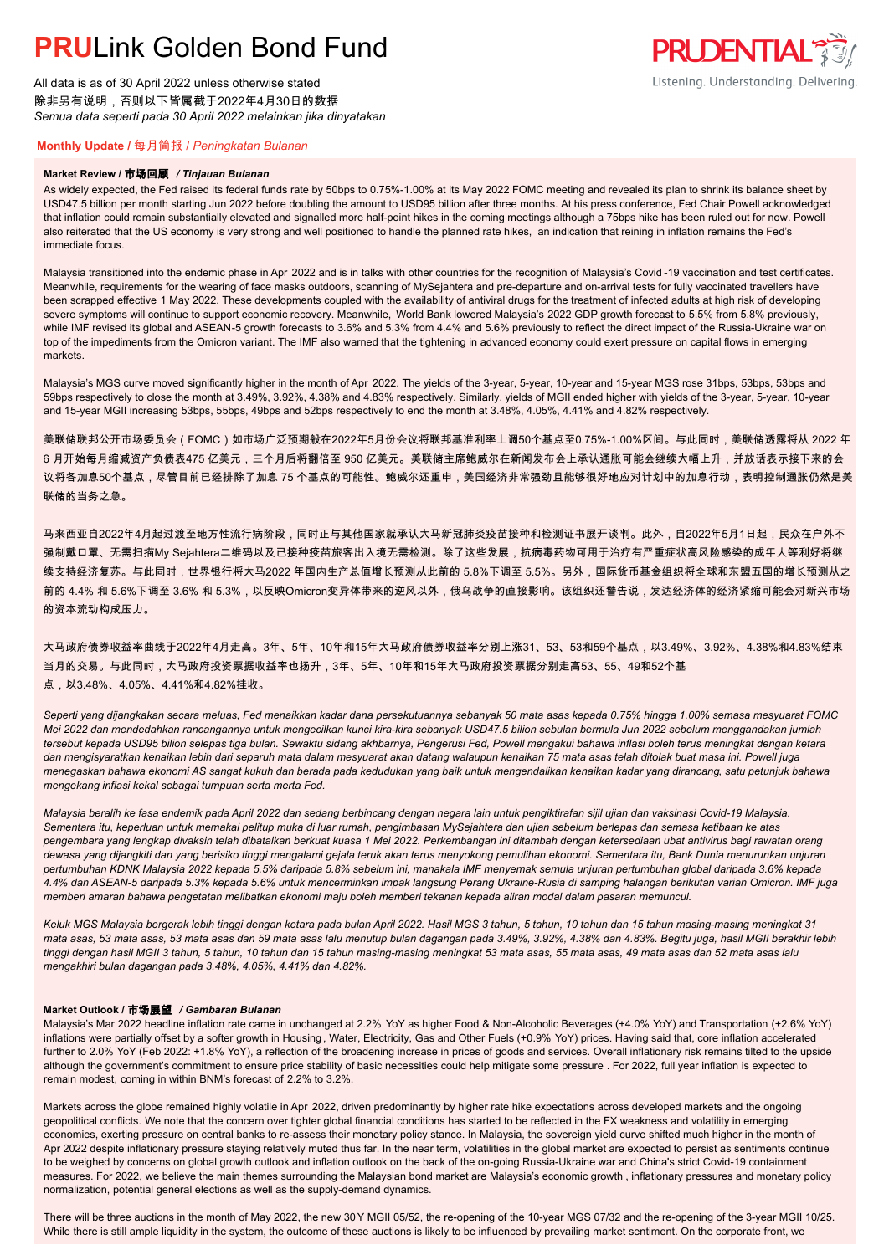# **PRUL** ink Golden Bond Fund

All data is as of 30 April 2022 unless otherwise stated 除非另有说明,否则以下皆属截于2022年4月30日的数据 *Semua data seperti pada 30 April 2022 melainkan jika dinyatakan*

### **PRUDENTIAL** Listening. Understanding. Delivering.

### **Monthly Update /** 每月简报 / *Peningkatan Bulanan*

#### **Market Review /** 市场回顾 */ Tinjauan Bulanan*

As widely expected, the Fed raised its federal funds rate by 50bps to 0.75%-1.00% at its May 2022 FOMC meeting and revealed its plan to shrink its balance sheet by USD47.5 billion per month starting Jun 2022 before doubling the amount to USD95 billion after three months. At his press conference, Fed Chair Powell acknowledged that inflation could remain substantially elevated and signalled more half-point hikes in the coming meetings although a 75bps hike has been ruled out for now. Powell also reiterated that the US economy is very strong and well positioned to handle the planned rate hikes, an indication that reining in inflation remains the Fed's immediate focus.

Malaysia transitioned into the endemic phase in Apr 2022 and is in talks with other countries for the recognition of Malaysia's Covid-19 vaccination and test certificates. Meanwhile, requirements for the wearing of face masks outdoors, scanning of MySejahtera and pre-departure and on-arrival tests for fully vaccinated travellers have been scrapped effective 1 May 2022. These developments coupled with the availability of antiviral drugs for the treatment of infected adults at high risk of developing severe symptoms will continue to support economic recovery. Meanwhile, World Bank lowered Malaysia's 2022 GDP growth forecast to 5.5% from 5.8% previously, while IMF revised its global and ASEAN-5 growth forecasts to 3.6% and 5.3% from 4.4% and 5.6% previously to reflect the direct impact of the Russia-Ukraine war on top of the impediments from the Omicron variant. The IMF also warned that the tightening in advanced economy could exert pressure on capital flows in emerging markets.

Malaysia's MGS curve moved significantly higher in the month of Apr 2022. The yields of the 3-year, 5-year, 10-year and 15-year MGS rose 31bps, 53bps, 53bps and 59bps respectively to close the month at 3.49%, 3.92%, 4.38% and 4.83% respectively. Similarly, yields of MGII ended higher with yields of the 3-year, 5-year, 10-year and 15-year MGII increasing 53bps, 55bps, 49bps and 52bps respectively to end the month at 3.48%, 4.05%, 4.41% and 4.82% respectively.

美联储联邦公开市场委员会(FOMC)如市场广泛预期般在2022年5月份会议将联邦基准利率上调50个基点至0.75%-1.00%区间。与此同时,美联储透露将从 2022 年 6 月开始每月缩减资产负债表475 亿美元,三个月后将翻倍至 950 亿美元。美联储主席鲍威尔在新闻发布会上承认通胀可能会继续大幅上升,并放话表示接下来的会 议将各加息50个基点,尽管目前已经排除了加息 75 个基点的可能性。鲍威尔还重申,美国经济非常强劲且能够很好地应对计划中的加息行动,表明控制通胀仍然是美 联储的当务之急。

马来西亚自2022年4月起过渡至地方性流行病阶段,同时正与其他国家就承认大马新冠肺炎疫苗接种和检测证书展开谈判。此外,自2022年5月1日起,民众在户外不 强制戴口罩、无需扫描My Sejahtera二维码以及已接种疫苗旅客出入境无需检测。除了这些发展,抗病毒药物可用于治疗有严重症状高风险感染的成年人等利好将继 续支持经济复苏。与此同时,世界银行将大马2022 年国内生产总值增长预测从此前的 5.8%下调至 5.5%。另外,国际货币基金组织将全球和东盟五国的增长预测从之 前的 4.4% 和 5.6%下调至 3.6% 和 5.3%,以反映Omicron变异体带来的逆风以外,俄乌战争的直接影响。该组织还警告说,发达经济体的经济紧缩可能会对新兴市场 的资本流动构成压力。

大马政府债券收益率曲线于2022年4月走高。3年、5年、10年和15年大马政府债券收益率分别上涨31、53、53和59个基点,以3.49%、3.92%、4.38%和4.83%结束 当月的交易。与此同时,大马政府投资票据收益率也扬升,3年、5年、10年和15年大马政府投资票据分别走高53、55、49和52个基 点,以3.48%、4.05%、4.41%和4.82%挂收。

*Seperti yang dijangkakan secara meluas, Fed menaikkan kadar dana persekutuannya sebanyak 50 mata asas kepada 0.75% hingga 1.00% semasa mesyuarat FOMC Mei 2022 dan mendedahkan rancangannya untuk mengecilkan kunci kira-kira sebanyak USD47.5 bilion sebulan bermula Jun 2022 sebelum menggandakan jumlah tersebut kepada USD95 bilion selepas tiga bulan. Sewaktu sidang akhbarnya, Pengerusi Fed, Powell mengakui bahawa inflasi boleh terus meningkat dengan ketara dan mengisyaratkan kenaikan lebih dari separuh mata dalam mesyuarat akan datang walaupun kenaikan 75 mata asas telah ditolak buat masa ini. Powell juga menegaskan bahawa ekonomi AS sangat kukuh dan berada pada kedudukan yang baik untuk mengendalikan kenaikan kadar yang dirancang, satu petunjuk bahawa mengekang inflasi kekal sebagai tumpuan serta merta Fed.*

*Malaysia beralih ke fasa endemik pada April 2022 dan sedang berbincang dengan negara lain untuk pengiktirafan sijil ujian dan vaksinasi Covid-19 Malaysia. Sementara itu, keperluan untuk memakai pelitup muka di luar rumah, pengimbasan MySejahtera dan ujian sebelum berlepas dan semasa ketibaan ke atas pengembara yang lengkap divaksin telah dibatalkan berkuat kuasa 1 Mei 2022. Perkembangan ini ditambah dengan ketersediaan ubat antivirus bagi rawatan orang dewasa yang dijangkiti dan yang berisiko tinggi mengalami gejala teruk akan terus menyokong pemulihan ekonomi. Sementara itu, Bank Dunia menurunkan unjuran pertumbuhan KDNK Malaysia 2022 kepada 5.5% daripada 5.8% sebelum ini, manakala IMF menyemak semula unjuran pertumbuhan global daripada 3.6% kepada 4.4% dan ASEAN-5 daripada 5.3% kepada 5.6% untuk mencerminkan impak langsung Perang Ukraine-Rusia di samping halangan berikutan varian Omicron. IMF juga memberi amaran bahawa pengetatan melibatkan ekonomi maju boleh memberi tekanan kepada aliran modal dalam pasaran memuncul.*

*Keluk MGS Malaysia bergerak lebih tinggi dengan ketara pada bulan April 2022. Hasil MGS 3 tahun, 5 tahun, 10 tahun dan 15 tahun masing-masing meningkat 31 mata asas, 53 mata asas, 53 mata asas dan 59 mata asas lalu menutup bulan dagangan pada 3.49%, 3.92%, 4.38% dan 4.83%. Begitu juga, hasil MGII berakhir lebih tinggi dengan hasil MGII 3 tahun, 5 tahun, 10 tahun dan 15 tahun masing-masing meningkat 53 mata asas, 55 mata asas, 49 mata asas dan 52 mata asas lalu mengakhiri bulan dagangan pada 3.48%, 4.05%, 4.41% dan 4.82%.*

#### **Market Outlook /** 市场展望 */ Gambaran Bulanan*

Malaysia's Mar 2022 headline inflation rate came in unchanged at 2.2% YoY as higher Food & Non-Alcoholic Beverages (+4.0% YoY) and Transportation (+2.6% YoY) inflations were partially offset by a softer growth in Housing , Water, Electricity, Gas and Other Fuels (+0.9% YoY) prices. Having said that, core inflation accelerated further to 2.0% YoY (Feb 2022: +1.8% YoY), a reflection of the broadening increase in prices of goods and services. Overall inflationary risk remains tilted to the upside although the government's commitment to ensure price stability of basic necessities could help mitigate some pressure . For 2022, full year inflation is expected to remain modest, coming in within BNM's forecast of 2.2% to 3.2%.

Markets across the globe remained highly volatile in Apr 2022, driven predominantly by higher rate hike expectations across developed markets and the ongoing geopolitical conflicts. We note that the concern over tighter global financial conditions has started to be reflected in the FX weakness and volatility in emerging economies, exerting pressure on central banks to re-assess their monetary policy stance. In Malaysia, the sovereign yield curve shifted much higher in the month of Apr 2022 despite inflationary pressure staying relatively muted thus far. In the near term, volatilities in the global market are expected to persist as sentiments continue to be weighed by concerns on global growth outlook and inflation outlook on the back of the on-going Russia-Ukraine war and China's strict Covid-19 containment measures. For 2022, we believe the main themes surrounding the Malaysian bond market are Malaysia's economic growth , inflationary pressures and monetary policy normalization, potential general elections as well as the supply-demand dynamics.

There will be three auctions in the month of May 2022, the new 30 Y MGII 05/52, the re-opening of the 10-year MGS 07/32 and the re-opening of the 3-year MGII 10/25. While there is still ample liquidity in the system, the outcome of these auctions is likely to be influenced by prevailing market sentiment. On the corporate front, we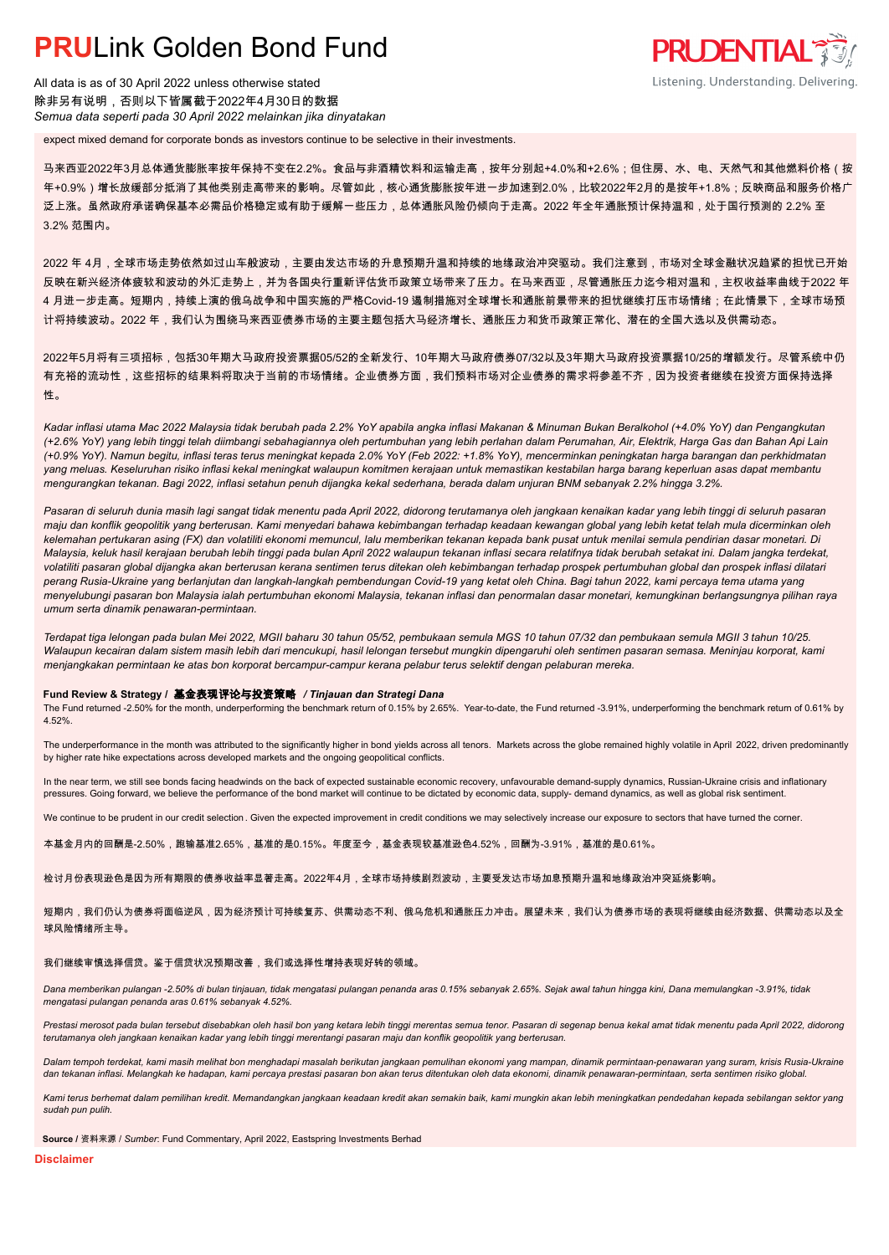## **PRUL** ink Golden Bond Fund

All data is as of 30 April 2022 unless otherwise stated 除非另有说明,否则以下皆属截于2022年4月30日的数据 *Semua data seperti pada 30 April 2022 melainkan jika dinyatakan*

expect mixed demand for corporate bonds as investors continue to be selective in their investments.

马来西亚2022年3月总体通货膨胀率按年保持不变在2.2%。食品与非酒精饮料和运输走高,按年分别起+4.0%和+2.6%;但住房、水、电、天然气和其他燃料价格(按 年+0.9%)增长放缓部分抵消了其他类别走高带来的影响。尽管如此,核心通货膨胀按年进一步加速到2.0%,比较2022年2月的是按年+1.8%;反映商品和服务价格广 泛上涨。虽然政府承诺确保基本必需品价格稳定或有助于缓解一些压力,总体通胀风险仍倾向于走高。2022 年全年通胀预计保持温和,处于国行预测的 2.2% 至 3.2% 范围内。

**PRUDENTIAL** 

Listening. Understanding. Delivering.

2022 年 4月,全球市场走势依然如过山车般波动,主要由发达市场的升息预期升温和持续的地缘政治冲突驱动。我们注意到,市场对全球金融状况趋紧的担忧已开始 反映在新兴经济体疲软和波动的外汇走势上,并为各国央行重新评估货币政策立场带来了压力。在马来西亚,尽管通胀压力迄今相对温和,主权收益率曲线于2022 年 4 月进一步走高。短期内,持续上演的俄乌战争和中国实施的严格Covid-19 遏制措施对全球增长和通胀前景带来的担忧继续打压市场情绪;在此情景下,全球市场预 计将持续波动。2022 年,我们认为围绕马来西亚债券市场的主要主题包括大马经济增长、通胀压力和货币政策正常化、潜在的全国大选以及供需动态。

2022年5月将有三项招标,包括30年期大马政府投资票据05/52的全新发行、10年期大马政府债券07/32以及3年期大马政府投资票据10/25的增额发行。尽管系统中仍 有充裕的流动性,这些招标的结果料将取决于当前的市场情绪。企业债券方面,我们预料市场对企业债券的需求将参差不齐,因为投资者继续在投资方面保持选择 性。

*Kadar inflasi utama Mac 2022 Malaysia tidak berubah pada 2.2% YoY apabila angka inflasi Makanan & Minuman Bukan Beralkohol (+4.0% YoY) dan Pengangkutan (+2.6% YoY) yang lebih tinggi telah diimbangi sebahagiannya oleh pertumbuhan yang lebih perlahan dalam Perumahan, Air, Elektrik, Harga Gas dan Bahan Api Lain (+0.9% YoY). Namun begitu, inflasi teras terus meningkat kepada 2.0% YoY (Feb 2022: +1.8% YoY), mencerminkan peningkatan harga barangan dan perkhidmatan yang meluas. Keseluruhan risiko inflasi kekal meningkat walaupun komitmen kerajaan untuk memastikan kestabilan harga barang keperluan asas dapat membantu mengurangkan tekanan. Bagi 2022, inflasi setahun penuh dijangka kekal sederhana, berada dalam unjuran BNM sebanyak 2.2% hingga 3.2%.*

*Pasaran di seluruh dunia masih lagi sangat tidak menentu pada April 2022, didorong terutamanya oleh jangkaan kenaikan kadar yang lebih tinggi di seluruh pasaran maju dan konflik geopolitik yang berterusan. Kami menyedari bahawa kebimbangan terhadap keadaan kewangan global yang lebih ketat telah mula dicerminkan oleh kelemahan pertukaran asing (FX) dan volatiliti ekonomi memuncul, lalu memberikan tekanan kepada bank pusat untuk menilai semula pendirian dasar monetari. Di Malaysia, keluk hasil kerajaan berubah lebih tinggi pada bulan April 2022 walaupun tekanan inflasi secara relatifnya tidak berubah setakat ini. Dalam jangka terdekat, volatiliti pasaran global dijangka akan berterusan kerana sentimen terus ditekan oleh kebimbangan terhadap prospek pertumbuhan global dan prospek inflasi dilatari perang Rusia-Ukraine yang berlanjutan dan langkah-langkah pembendungan Covid-19 yang ketat oleh China. Bagi tahun 2022, kami percaya tema utama yang menyelubungi pasaran bon Malaysia ialah pertumbuhan ekonomi Malaysia, tekanan inflasi dan penormalan dasar monetari, kemungkinan berlangsungnya pilihan raya umum serta dinamik penawaran-permintaan.*

*Terdapat tiga lelongan pada bulan Mei 2022, MGII baharu 30 tahun 05/52, pembukaan semula MGS 10 tahun 07/32 dan pembukaan semula MGII 3 tahun 10/25. Walaupun kecairan dalam sistem masih lebih dari mencukupi, hasil lelongan tersebut mungkin dipengaruhi oleh sentimen pasaran semasa. Meninjau korporat, kami menjangkakan permintaan ke atas bon korporat bercampur-campur kerana pelabur terus selektif dengan pelaburan mereka.*

#### **Fund Review & Strategy /** 基金表现评论与投资策略 */ Tinjauan dan Strategi Dana*

The Fund returned -2.50% for the month, underperforming the benchmark return of 0.15% by 2.65%. Year-to-date, the Fund returned -3.91%, underperforming the benchmark return of 0.61% by 4.52%.

The underperformance in the month was attributed to the significantly higher in bond yields across all tenors. Markets across the globe remained highly volatile in April 2022, driven predominantly by higher rate hike expectations across developed markets and the ongoing geopolitical conflicts.

In the near term, we still see bonds facing headwinds on the back of expected sustainable economic recovery, unfavourable demand-supply dynamics, Russian-Ukraine crisis and inflationary pressures. Going forward, we believe the performance of the bond market will continue to be dictated by economic data, supply- demand dynamics, as well as global risk sentiment.

We continue to be prudent in our credit selection. Given the expected improvement in credit conditions we may selectively increase our exposure to sectors that have turned the corner.

本基金月内的回酬是-2.50%,跑输基准2.65%,基准的是0.15%。年度至今,基金表现较基准逊色4.52%,回酬为-3.91%,基准的是0.61%。

检讨月份表现逊色是因为所有期限的债券收益率显著走高。2022年4月,全球市场持续剧烈波动,主要受发达市场加息预期升温和地缘政治冲突延烧影响。

短期内,我们仍认为债券将面临逆风,因为经济预计可持续复苏、供需动态不利、俄乌危机和通胀压力冲击。展望未来,我们认为债券市场的表现将继续由经济数据、供需动态以及全 球风险情绪所主导。

#### 我们继续审慎选择信贷。鉴于信贷状况预期改善,我们或选择性增持表现好转的领域。

*Dana memberikan pulangan -2.50% di bulan tinjauan, tidak mengatasi pulangan penanda aras 0.15% sebanyak 2.65%. Sejak awal tahun hingga kini, Dana memulangkan -3.91%, tidak mengatasi pulangan penanda aras 0.61% sebanyak 4.52%.*

Prestasi merosot pada bulan tersebut disebabkan oleh hasil bon yang ketara lebih tinggi merentas semua tenor. Pasaran di segenap benua kekal amat tidak menentu pada April 2022, didorong *terutamanya oleh jangkaan kenaikan kadar yang lebih tinggi merentangi pasaran maju dan konflik geopolitik yang berterusan.*

*Dalam tempoh terdekat, kami masih melihat bon menghadapi masalah berikutan jangkaan pemulihan ekonomi yang mampan, dinamik permintaan-penawaran yang suram, krisis Rusia-Ukraine dan tekanan inflasi. Melangkah ke hadapan, kami percaya prestasi pasaran bon akan terus ditentukan oleh data ekonomi, dinamik penawaran-permintaan, serta sentimen risiko global.*

*Kami terus berhemat dalam pemilihan kredit. Memandangkan jangkaan keadaan kredit akan semakin baik, kami mungkin akan lebih meningkatkan pendedahan kepada sebilangan sektor yang sudah pun pulih.*

**Source /** 资料来源 / *Sumber*: Fund Commentary, April 2022, Eastspring Investments Berhad

**Disclaimer**